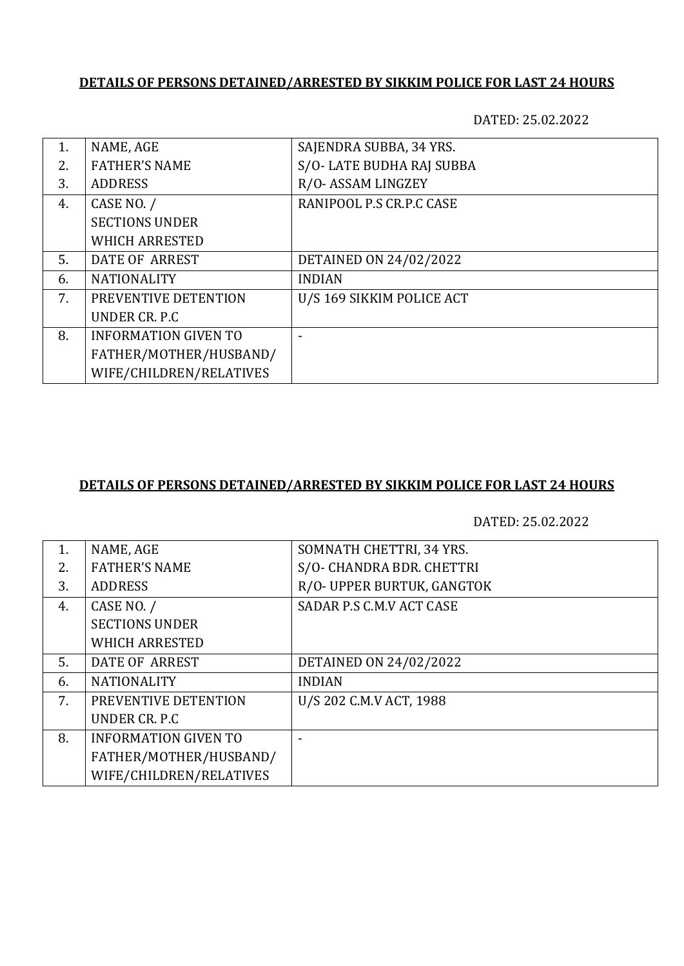## **DETAILS OF PERSONS DETAINED/ARRESTED BY SIKKIM POLICE FOR LAST 24 HOURS**

DATED: 25.02.2022

| 1. | NAME, AGE                   | SAJENDRA SUBBA, 34 YRS.       |
|----|-----------------------------|-------------------------------|
| 2. | <b>FATHER'S NAME</b>        | S/O-LATE BUDHA RAJ SUBBA      |
| 3. | <b>ADDRESS</b>              | R/O-ASSAM LINGZEY             |
| 4. | CASE NO. /                  | RANIPOOL P.S CR.P.C CASE      |
|    | <b>SECTIONS UNDER</b>       |                               |
|    | <b>WHICH ARRESTED</b>       |                               |
| 5. | DATE OF ARREST              | <b>DETAINED ON 24/02/2022</b> |
| 6. | <b>NATIONALITY</b>          | <b>INDIAN</b>                 |
| 7. | PREVENTIVE DETENTION        | U/S 169 SIKKIM POLICE ACT     |
|    | UNDER CR. P.C.              |                               |
| 8. | <b>INFORMATION GIVEN TO</b> |                               |
|    | FATHER/MOTHER/HUSBAND/      |                               |
|    | WIFE/CHILDREN/RELATIVES     |                               |

## **DETAILS OF PERSONS DETAINED/ARRESTED BY SIKKIM POLICE FOR LAST 24 HOURS**

DATED: 25.02.2022

| 1. | NAME, AGE                   | SOMNATH CHETTRI, 34 YRS.      |
|----|-----------------------------|-------------------------------|
| 2. | <b>FATHER'S NAME</b>        | S/O- CHANDRA BDR. CHETTRI     |
| 3. | <b>ADDRESS</b>              | R/O- UPPER BURTUK, GANGTOK    |
| 4. | CASE NO. /                  | SADAR P.S C.M.V ACT CASE      |
|    | <b>SECTIONS UNDER</b>       |                               |
|    | <b>WHICH ARRESTED</b>       |                               |
| 5. | DATE OF ARREST              | <b>DETAINED ON 24/02/2022</b> |
| 6. | <b>NATIONALITY</b>          | <b>INDIAN</b>                 |
| 7. | PREVENTIVE DETENTION        | U/S 202 C.M.V ACT, 1988       |
|    | UNDER CR. P.C.              |                               |
| 8. | <b>INFORMATION GIVEN TO</b> |                               |
|    | FATHER/MOTHER/HUSBAND/      |                               |
|    | WIFE/CHILDREN/RELATIVES     |                               |